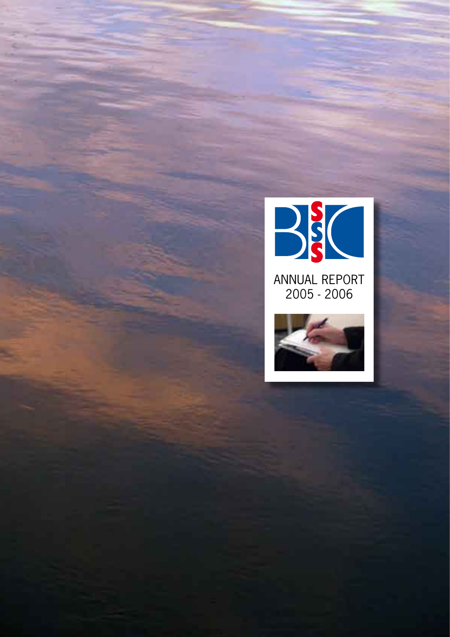

Annual report 2005 - 2006

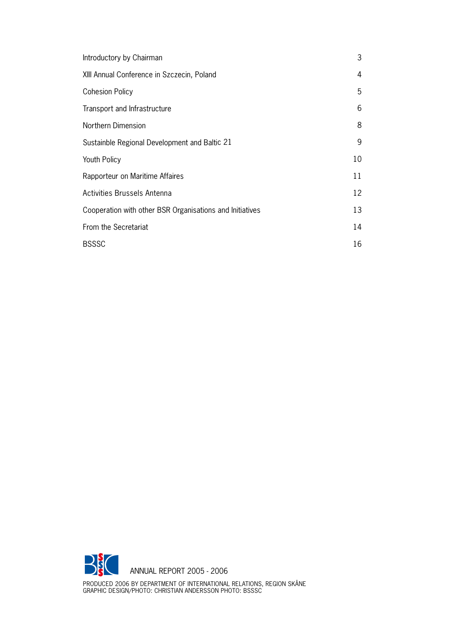| Introductory by Chairman                                 | 3  |
|----------------------------------------------------------|----|
| XIII Annual Conference in Szczecin, Poland               | 4  |
| <b>Cohesion Policy</b>                                   | 5  |
| Transport and Infrastructure                             | 6  |
| Northern Dimension                                       | 8  |
| Sustainble Regional Development and Baltic 21            | 9  |
| <b>Youth Policy</b>                                      | 10 |
| Rapporteur on Maritime Affaires                          | 11 |
| Activities Brussels Antenna                              | 12 |
| Cooperation with other BSR Organisations and Initiatives | 13 |
| From the Secretariat                                     | 14 |
| <b>BSSSC</b>                                             | 16 |



Produced 2006 by Department of International Relations, Region Skåne GRAPHIC DESIGN/PHOTO: CHRISTIAN ANDERSSON PHOTO: B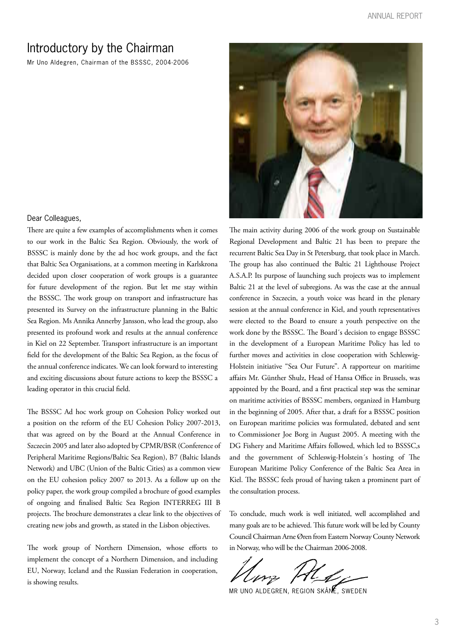### Introductory by the Chairman

Mr Uno Aldegren, Chairman of the BSSSC, 2004-2006



#### Dear Colleagues,

There are quite a few examples of accomplishments when it comes to our work in the Baltic Sea Region. Obviously, the work of BSSSC is mainly done by the ad hoc work groups, and the fact that Baltic Sea Organisations, at a common meeting in Karlskrona decided upon closer cooperation of work groups is a guarantee for future development of the region. But let me stay within the BSSSC. The work group on transport and infrastructure has presented its Survey on the infrastructure planning in the Baltic Sea Region. Ms Annika Annerby Jansson, who lead the group, also presented its profound work and results at the annual conference in Kiel on 22 September. Transport infrastructure is an important field for the development of the Baltic Sea Region, as the focus of the annual conference indicates. We can look forward to interesting and exciting discussions about future actions to keep the BSSSC a leading operator in this crucial field.

The BSSSC Ad hoc work group on Cohesion Policy worked out a position on the reform of the EU Cohesion Policy 2007-2013, that was agreed on by the Board at the Annual Conference in Szczecin 2005 and later also adopted by CPMR/BSR (Conference of Peripheral Maritime Regions/Baltic Sea Region), B7 (Baltic Islands Network) and UBC (Union of the Baltic Cities) as a common view on the EU cohesion policy 2007 to 2013. As a follow up on the policy paper, the work group compiled a brochure of good examples of ongoing and finalised Baltic Sea Region INTERREG III B projects. The brochure demonstrates a clear link to the objectives of creating new jobs and growth, as stated in the Lisbon objectives.

The work group of Northern Dimension, whose efforts to implement the concept of a Northern Dimension, and including EU, Norway, Iceland and the Russian Federation in cooperation, is showing results.

The main activity during 2006 of the work group on Sustainable Regional Development and Baltic 21 has been to prepare the recurrent Baltic Sea Day in St Petersburg, that took place in March. The group has also continued the Baltic 21 Lighthouse Project A.S.A.P. Its purpose of launching such projects was to implement Baltic 21 at the level of subregions. As was the case at the annual conference in Szczecin, a youth voice was heard in the plenary session at the annual conference in Kiel, and youth representatives were elected to the Board to ensure a youth perspective on the work done by the BSSSC. The Board´s decision to engage BSSSC in the development of a European Maritime Policy has led to further moves and activities in close cooperation with Schleswig-Holstein initiative "Sea Our Future". A rapporteur on maritime affairs Mr. Günther Shulz, Head of Hansa Office in Brussels, was appointed by the Board, and a first practical step was the seminar on maritime activities of BSSSC members, organized in Hamburg in the beginning of 2005. After that, a draft for a BSSSC position on European maritime policies was formulated, debated and sent to Commissioner Joe Borg in August 2005. A meeting with the DG Fishery and Maritime Affairs followed, which led to BSSSC,s and the government of Schleswig-Holstein´s hosting of The European Maritime Policy Conference of the Baltic Sea Area in Kiel. The BSSSC feels proud of having taken a prominent part of the consultation process.

To conclude, much work is well initiated, well accomplished and many goals are to be achieved. This future work will be led by County Council Chairman Arne Øren from Eastern Norway County Network in Norway, who will be the Chairman 2006-2008.

MR UNO ALDEGREN, REGION SKÅNE, SWEDEN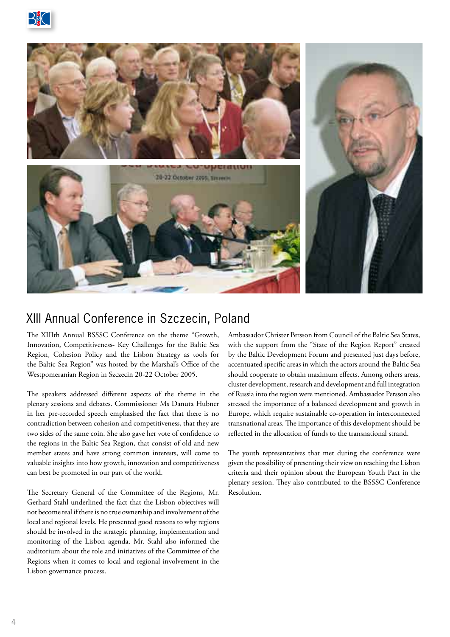



## XIII Annual Conference in Szczecin, Poland

The XIIIth Annual BSSSC Conference on the theme "Growth, Innovation, Competitiveness- Key Challenges for the Baltic Sea Region, Cohesion Policy and the Lisbon Strategy as tools for the Baltic Sea Region" was hosted by the Marshal's Office of the Westpomeranian Region in Szczecin 20-22 October 2005.

The speakers addressed different aspects of the theme in the plenary sessions and debates. Commissioner Ms Danuta Hubner in her pre-recorded speech emphasised the fact that there is no contradiction between cohesion and competitiveness, that they are two sides of the same coin. She also gave her vote of confidence to the regions in the Baltic Sea Region, that consist of old and new member states and have strong common interests, will come to valuable insights into how growth, innovation and competitiveness can best be promoted in our part of the world.

The Secretary General of the Committee of the Regions, Mr. Gerhard Stahl underlined the fact that the Lisbon objectives will not become real if there is no true ownership and involvement of the local and regional levels. He presented good reasons to why regions should be involved in the strategic planning, implementation and monitoring of the Lisbon agenda. Mr. Stahl also informed the auditorium about the role and initiatives of the Committee of the Regions when it comes to local and regional involvement in the Lisbon governance process.

Ambassador Christer Persson from Council of the Baltic Sea States, with the support from the "State of the Region Report" created by the Baltic Development Forum and presented just days before, accentuated specific areas in which the actors around the Baltic Sea should cooperate to obtain maximum effects. Among others areas, cluster development, research and development and full integration of Russia into the region were mentioned. Ambassador Persson also stressed the importance of a balanced development and growth in Europe, which require sustainable co-operation in interconnected transnational areas. The importance of this development should be reflected in the allocation of funds to the transnational strand.

The youth representatives that met during the conference were given the possibility of presenting their view on reaching the Lisbon criteria and their opinion about the European Youth Pact in the plenary session. They also contributed to the BSSSC Conference Resolution.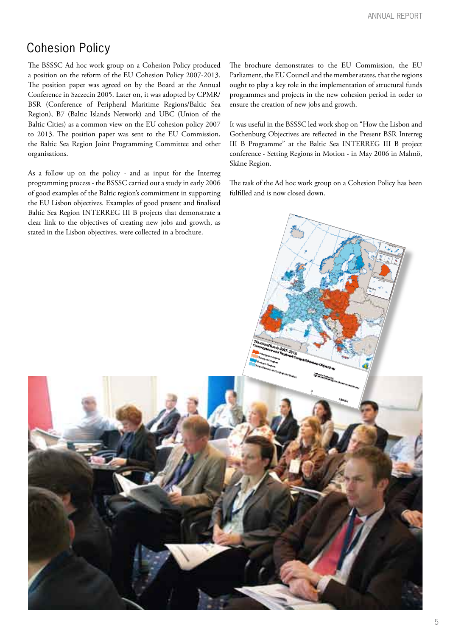## Cohesion Policy

The BSSSC Ad hoc work group on a Cohesion Policy produced a position on the reform of the EU Cohesion Policy 2007-2013. The position paper was agreed on by the Board at the Annual Conference in Szczecin 2005. Later on, it was adopted by CPMR/ BSR (Conference of Peripheral Maritime Regions/Baltic Sea Region), B7 (Baltic Islands Network) and UBC (Union of the Baltic Cities) as a common view on the EU cohesion policy 2007 to 2013. The position paper was sent to the EU Commission, the Baltic Sea Region Joint Programming Committee and other organisations.

As a follow up on the policy - and as input for the Interreg programming process - the BSSSC carried out a study in early 2006 of good examples of the Baltic region's commitment in supporting the EU Lisbon objectives. Examples of good present and finalised Baltic Sea Region INTERREG III B projects that demonstrate a clear link to the objectives of creating new jobs and growth, as stated in the Lisbon objectives, were collected in a brochure.

The brochure demonstrates to the EU Commission, the EU Parliament, the EU Council and the member states, that the regions ought to play a key role in the implementation of structural funds programmes and projects in the new cohesion period in order to ensure the creation of new jobs and growth.

It was useful in the BSSSC led work shop on "How the Lisbon and Gothenburg Objectives are reflected in the Present BSR Interreg III B Programme" at the Baltic Sea INTERREG III B project conference - Setting Regions in Motion - in May 2006 in Malmö, Skåne Region.

The task of the Ad hoc work group on a Cohesion Policy has been fulfilled and is now closed down.

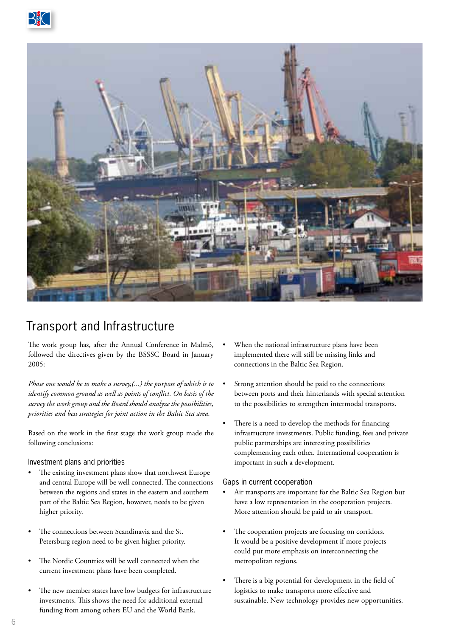



## Transport and Infrastructure

The work group has, after the Annual Conference in Malmö, followed the directives given by the BSSSC Board in January 2005:

*Phase one would be to make a survey,(...) the purpose of which is to identify common ground as well as points of conflict. On basis of the survey the work group and the Board should analyze the possibilities, priorities and best strategies for joint action in the Baltic Sea area.*

Based on the work in the first stage the work group made the following conclusions:

#### Investment plans and priorities

- The existing investment plans show that northwest Europe and central Europe will be well connected. The connections between the regions and states in the eastern and southern part of the Baltic Sea Region, however, needs to be given higher priority.
- The connections between Scandinavia and the St. Petersburg region need to be given higher priority.
- The Nordic Countries will be well connected when the current investment plans have been completed.
- The new member states have low budgets for infrastructure investments. This shows the need for additional external funding from among others EU and the World Bank.
- When the national infrastructure plans have been implemented there will still be missing links and connections in the Baltic Sea Region.
- Strong attention should be paid to the connections between ports and their hinterlands with special attention to the possibilities to strengthen intermodal transports.
- There is a need to develop the methods for financing infrastructure investments. Public funding, fees and private public partnerships are interesting possibilities complementing each other. International cooperation is important in such a development.

#### Gaps in current cooperation

- Air transports are important for the Baltic Sea Region but have a low representation in the cooperation projects. More attention should be paid to air transport.
- The cooperation projects are focusing on corridors. It would be a positive development if more projects could put more emphasis on interconnecting the metropolitan regions.
- There is a big potential for development in the field of logistics to make transports more effective and sustainable. New technology provides new opportunities.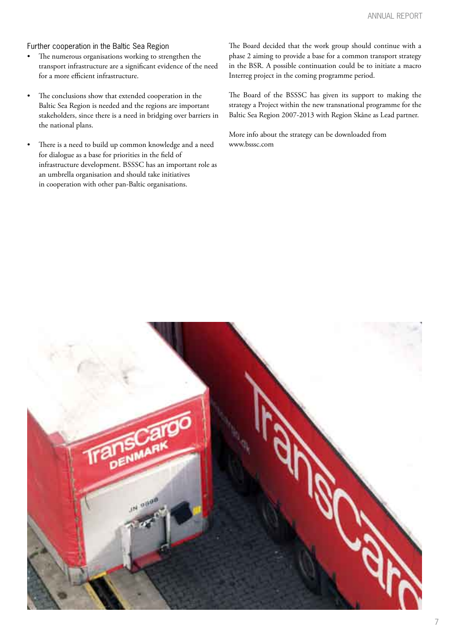### Further cooperation in the Baltic Sea Region

- The numerous organisations working to strengthen the transport infrastructure are a significant evidence of the need for a more efficient infrastructure.
- The conclusions show that extended cooperation in the Baltic Sea Region is needed and the regions are important stakeholders, since there is a need in bridging over barriers in the national plans.
- There is a need to build up common knowledge and a need for dialogue as a base for priorities in the field of infrastructure development. BSSSC has an important role as an umbrella organisation and should take initiatives in cooperation with other pan-Baltic organisations.

The Board decided that the work group should continue with a phase 2 aiming to provide a base for a common transport strategy in the BSR. A possible continuation could be to initiate a macro Interreg project in the coming programme period.

The Board of the BSSSC has given its support to making the strategy a Project within the new transnational programme for the Baltic Sea Region 2007-2013 with Region Skåne as Lead partner.

More info about the strategy can be downloaded from www.bsssc.com

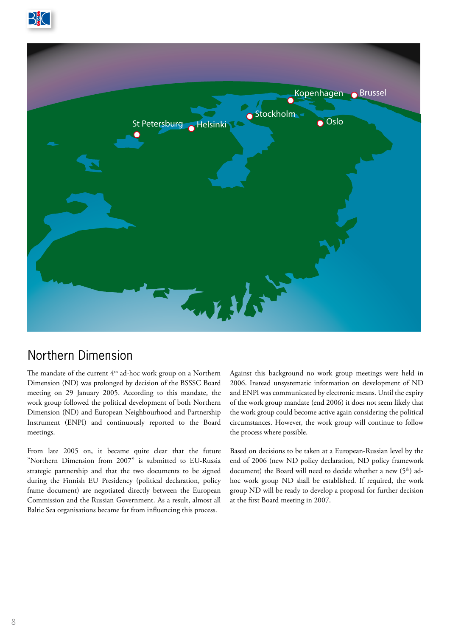



### Northern Dimension

The mandate of the current  $4<sup>th</sup>$  ad-hoc work group on a Northern Dimension (ND) was prolonged by decision of the BSSSC Board meeting on 29 January 2005. According to this mandate, the work group followed the political development of both Northern Dimension (ND) and European Neighbourhood and Partnership Instrument (ENPI) and continuously reported to the Board meetings.

From late 2005 on, it became quite clear that the future "Northern Dimension from 2007" is submitted to EU-Russia strategic partnership and that the two documents to be signed during the Finnish EU Presidency (political declaration, policy frame document) are negotiated directly between the European Commission and the Russian Government. As a result, almost all Baltic Sea organisations became far from influencing this process.

Against this background no work group meetings were held in 2006. Instead unsystematic information on development of ND and ENPI was communicated by electronic means. Until the expiry of the work group mandate (end 2006) it does not seem likely that the work group could become active again considering the political circumstances. However, the work group will continue to follow the process where possible.

Based on decisions to be taken at a European-Russian level by the end of 2006 (new ND policy declaration, ND policy framework document) the Board will need to decide whether a new (5<sup>th</sup>) adhoc work group ND shall be established. If required, the work group ND will be ready to develop a proposal for further decision at the first Board meeting in 2007.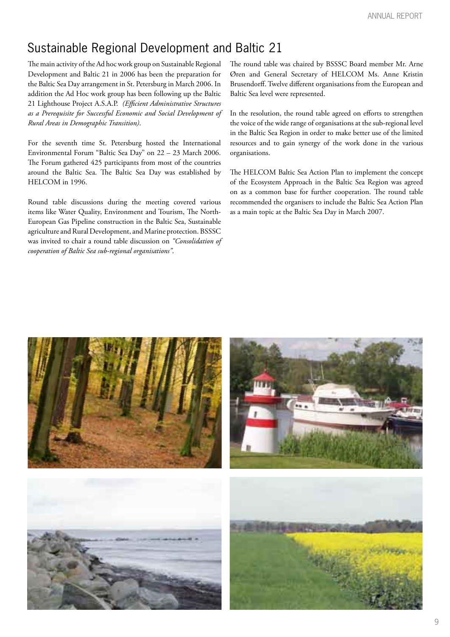## Sustainable Regional Development and Baltic 21

The main activity of the Ad hoc work group on Sustainable Regional Development and Baltic 21 in 2006 has been the preparation for the Baltic Sea Day arrangement in St. Petersburg in March 2006. In addition the Ad Hoc work group has been following up the Baltic 21 Lighthouse Project A.S.A.P. *(Efficient Administrative Structures as a Prerequisite for Successful Economic and Social Development of Rural Areas in Demographic Transition)*.

For the seventh time St. Petersburg hosted the International Environmental Forum "Baltic Sea Day" on 22 – 23 March 2006. The Forum gathered 425 participants from most of the countries around the Baltic Sea. The Baltic Sea Day was established by HELCOM in 1996.

Round table discussions during the meeting covered various items like Water Quality, Environment and Tourism, The North-European Gas Pipeline construction in the Baltic Sea, Sustainable agriculture and Rural Development, and Marine protection. BSSSC was invited to chair a round table discussion on *"Consolidation of cooperation of Baltic Sea sub-regional organisations"*.

The round table was chaired by BSSSC Board member Mr. Arne Øren and General Secretary of HELCOM Ms. Anne Kristin Brusendorff. Twelve different organisations from the European and Baltic Sea level were represented.

In the resolution, the round table agreed on efforts to strengthen the voice of the wide range of organisations at the sub-regional level in the Baltic Sea Region in order to make better use of the limited resources and to gain synergy of the work done in the various organisations.

The HELCOM Baltic Sea Action Plan to implement the concept of the Ecosystem Approach in the Baltic Sea Region was agreed on as a common base for further cooperation. The round table recommended the organisers to include the Baltic Sea Action Plan as a main topic at the Baltic Sea Day in March 2007.

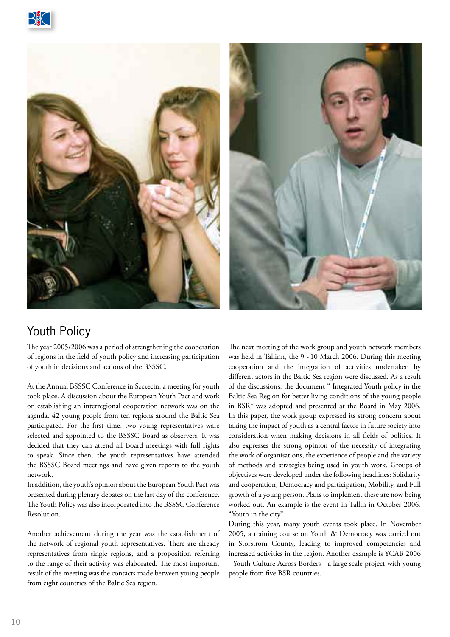





# Youth Policy

The year 2005/2006 was a period of strengthening the cooperation of regions in the field of youth policy and increasing participation of youth in decisions and actions of the BSSSC.

At the Annual BSSSC Conference in Szczecin, a meeting for youth took place. A discussion about the European Youth Pact and work on establishing an interregional cooperation network was on the agenda. 42 young people from ten regions around the Baltic Sea participated. For the first time, two young representatives ware selected and appointed to the BSSSC Board as observers. It was decided that they can attend all Board meetings with full rights to speak. Since then, the youth representatives have attended the BSSSC Board meetings and have given reports to the youth network.

In addition, the youth's opinion about the European Youth Pact was presented during plenary debates on the last day of the conference. The Youth Policy was also incorporated into the BSSSC Conference Resolution.

Another achievement during the year was the establishment of the network of regional youth representatives. There are already representatives from single regions, and a proposition referring to the range of their activity was elaborated. The most important result of the meeting was the contacts made between young people from eight countries of the Baltic Sea region.

The next meeting of the work group and youth network members was held in Tallinn, the 9 - 10 March 2006. During this meeting cooperation and the integration of activities undertaken by different actors in the Baltic Sea region were discussed. As a result of the discussions, the document " Integrated Youth policy in the Baltic Sea Region for better living conditions of the young people in BSR" was adopted and presented at the Board in May 2006. In this paper, the work group expressed its strong concern about taking the impact of youth as a central factor in future society into consideration when making decisions in all fields of politics. It also expresses the strong opinion of the necessity of integrating the work of organisations, the experience of people and the variety of methods and strategies being used in youth work. Groups of objectives were developed under the following headlines: Solidarity and cooperation, Democracy and participation, Mobility, and Full growth of a young person. Plans to implement these are now being worked out. An example is the event in Tallin in October 2006, "Youth in the city".

During this year, many youth events took place. In November 2005, a training course on Youth & Democracy was carried out in Storstrom County, leading to improved competencies and increased activities in the region. Another example is YCAB 2006 - Youth Culture Across Borders - a large scale project with young people from five BSR countries.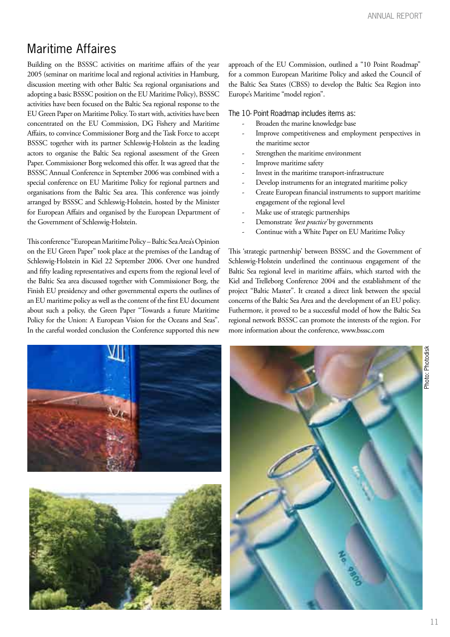# Maritime Affaires

Building on the BSSSC activities on maritime affairs of the year 2005 (seminar on maritime local and regional activities in Hamburg, discussion meeting with other Baltic Sea regional organisations and adopting a basic BSSSC position on the EU Maritime Policy), BSSSC activities have been focused on the Baltic Sea regional response to the EU Green Paper on Maritime Policy. To start with, activities have been concentrated on the EU Commission, DG Fishery and Maritime Affairs, to convince Commissioner Borg and the Task Force to accept BSSSC together with its partner Schleswig-Holstein as the leading actors to organise the Baltic Sea regional assessment of the Green Paper. Commissioner Borg welcomed this offer. It was agreed that the BSSSC Annual Conference in September 2006 was combined with a special conference on EU Maritime Policy for regional partners and organisations from the Baltic Sea area. This conference was jointly arranged by BSSSC and Schleswig-Holstein, hosted by the Minister for European Affairs and organised by the European Department of the Government of Schleswig-Holstein.

This conference "European Maritime Policy – Baltic Sea Area's Opinion on the EU Green Paper" took place at the premises of the Landtag of Schleswig-Holstein in Kiel 22 September 2006. Over one hundred and fifty leading representatives and experts from the regional level of the Baltic Sea area discussed together with Commissioner Borg, the Finish EU presidency and other governmental experts the outlines of an EU maritime policy as well as the content of the first EU document about such a policy, the Green Paper "Towards a future Maritime Policy for the Union: A European Vision for the Oceans and Seas". In the careful worded conclusion the Conference supported this new approach of the EU Commission, outlined a "10 Point Roadmap" for a common European Maritime Policy and asked the Council of the Baltic Sea States (CBSS) to develop the Baltic Sea Region into Europe's Maritime "model region".

The 10- Point Roadmap includes items as:

- Broaden the marine knowledge base
- Improve competitiveness and employment perspectives in the maritime sector
- Strengthen the maritime environment
- Improve maritime safety
- Invest in the maritime transport-infrastructure
- Develop instruments for an integrated maritime policy
- Create European financial instruments to support maritime engagement of the regional level
- Make use of strategic partnerships
- Demonstrate *'best practice'* by governments
- Continue with a White Paper on EU Maritime Policy

This 'strategic partnership' between BSSSC and the Government of Schleswig-Holstein underlined the continuous engagement of the Baltic Sea regional level in maritime affairs, which started with the Kiel and Trelleborg Conference 2004 and the establishment of the project "Baltic Master". It created a direct link between the special concerns of the Baltic Sea Area and the development of an EU policy. Futhermore, it proved to be a successful model of how the Baltic Sea regional network BSSSC can promote the interests of the region. For more information about the conference, www.bsssc.com



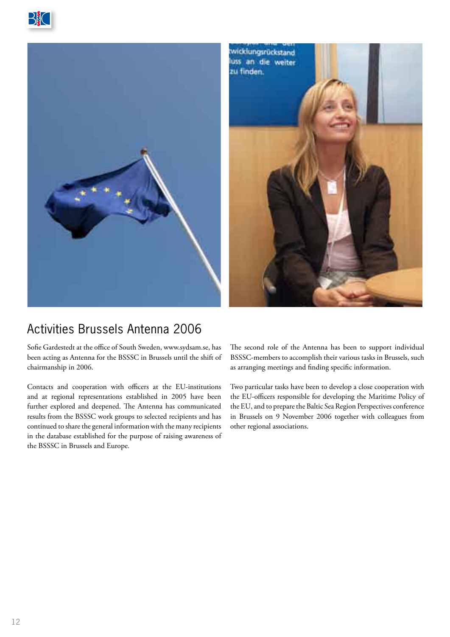





# Activities Brussels Antenna 2006

Sofie Gardestedt at the office of South Sweden, www.sydsam.se, has been acting as Antenna for the BSSSC in Brussels until the shift of chairmanship in 2006.

Contacts and cooperation with officers at the EU-institutions and at regional representations established in 2005 have been further explored and deepened. The Antenna has communicated results from the BSSSC work groups to selected recipients and has continued to share the general information with the many recipients in the database established for the purpose of raising awareness of the BSSSC in Brussels and Europe.

The second role of the Antenna has been to support individual BSSSC-members to accomplish their various tasks in Brussels, such as arranging meetings and finding specific information.

Two particular tasks have been to develop a close cooperation with the EU-officers responsible for developing the Maritime Policy of the EU, and to prepare the Baltic Sea Region Perspectives conference in Brussels on 9 November 2006 together with colleagues from other regional associations.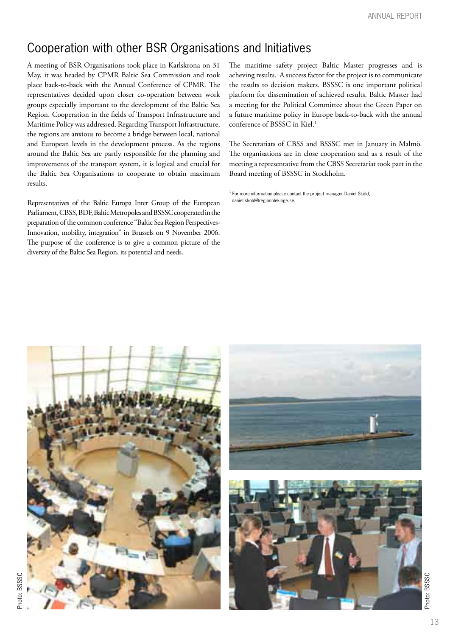# Cooperation with other BSR Organisations and Initiatives

A meeting of BSR Organisations took place in Karlskrona on 31 May, it was headed by CPMR Baltic Sea Commission and took place back-to-back with the Annual Conference of CPMR. The representatives decided upon closer co-operation between work groups especially important to the development of the Baltic Sea Region. Cooperation in the fields of Transport Infrastructure and Maritime Policy was addressed. Regarding Transport Infrastructure, the regions are anxious to become a bridge between local, national and European levels in the development process. As the regions around the Baltic Sea are partly responsible for the planning and improvements of the transport system, it is logical and crucial for the Baltic Sea Organisations to cooperate to obtain maximum results.

Representatives of the Baltic Europa Inter Group of the European Parliament, CBSS, BDF, Baltic Metropoles and BSSSC cooperated in the preparation of the common conference "Baltic Sea Region Perspectives-Innovation, mobility, integration" in Brussels on 9 November 2006. The purpose of the conference is to give a common picture of the diversity of the Baltic Sea Region, its potential and needs.

The maritime safety project Baltic Master progresses and is acheving results. A success factor for the project is to communicate the results to decision makers. BSSSC is one important political platform for dissemination of achieved results. Baltic Master had a meeting for the Political Committee about the Green Paper on a future maritime policy in Europe back-to-back with the annual conference of BSSSC in Kiel.<sup>1</sup>

The Secretariats of CBSS and BSSSC met in January in Malmö. The organisations are in close cooperation and as a result of the meeting a representative from the CBSS Secretariat took part in the Board meeting of BSSSC in Stockholm.

 $1$  For more information please contact the project manager Daniel Sköld, daniel.skold@regionblekinge.se.



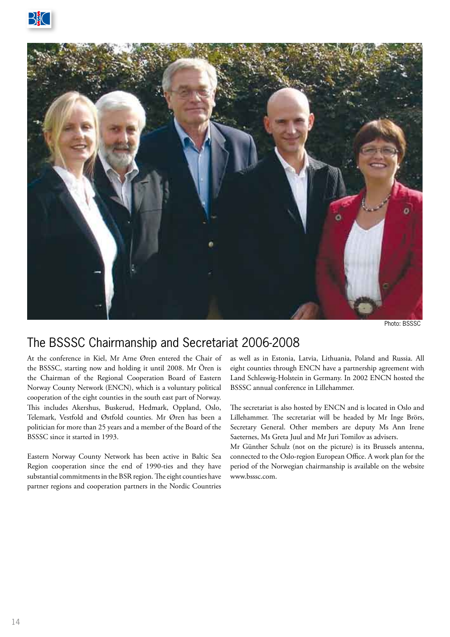

Photo: BSSSC

### The BSSSC Chairmanship and Secretariat 2006-2008

At the conference in Kiel, Mr Arne Øren entered the Chair of the BSSSC, starting now and holding it until 2008. Mr Ören is the Chairman of the Regional Cooperation Board of Eastern Norway County Network (ENCN), which is a voluntary political cooperation of the eight counties in the south east part of Norway. This includes Akershus, Buskerud, Hedmark, Oppland, Oslo, Telemark, Vestfold and Østfold counties. Mr Øren has been a politician for more than 25 years and a member of the Board of the BSSSC since it started in 1993.

Eastern Norway County Network has been active in Baltic Sea Region cooperation since the end of 1990-ties and they have substantial commitments in the BSR region. The eight counties have partner regions and cooperation partners in the Nordic Countries

as well as in Estonia, Latvia, Lithuania, Poland and Russia. All eight counties through ENCN have a partnership agreement with Land Schleswig-Holstein in Germany. In 2002 ENCN hosted the BSSSC annual conference in Lillehammer.

The secretariat is also hosted by ENCN and is located in Oslo and Lillehammer. The secretariat will be headed by Mr Inge Brörs, Secretary General. Other members are deputy Ms Ann Irene Saeternes, Ms Greta Juul and Mr Juri Tomilov as advisers.

Mr Günther Schulz (not on the picture) is its Brussels antenna, connected to the Oslo-region European Office. A work plan for the period of the Norwegian chairmanship is available on the website www.bsssc.com.